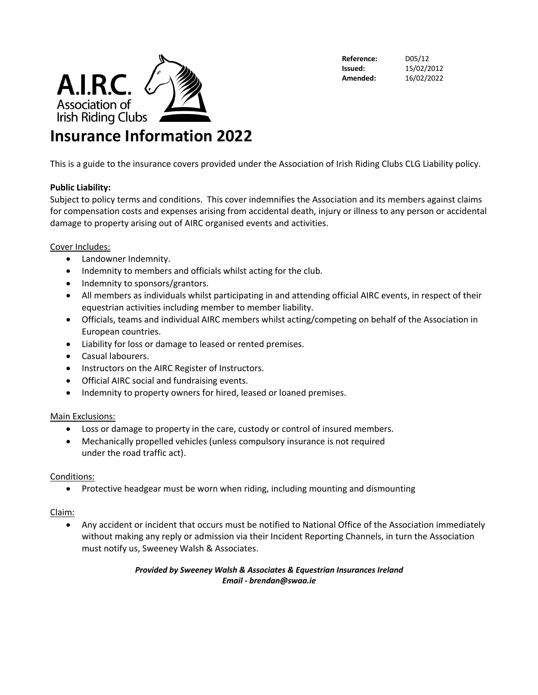

**Reference:** D05/12

**Issued:** 15/02/2012 **Amended:** 16/02/2022

## **Insurance Information 2022**

This is a guide to the insurance covers provided under the Association of Irish Riding Clubs CLG Liability policy.

### **Public Liability:**

Subject to policy terms and conditions. This cover indemnifies the Association and its members against claims for compensation costs and expenses arising from accidental death, injury or illness to any person or accidental damage to property arising out of AIRC organised events and activities.

#### Cover Includes:

- Landowner Indemnity.
- Indemnity to members and officials whilst acting for the club.
- Indemnity to sponsors/grantors.
- All members as individuals whilst participating in and attending official AIRC events, in respect of their equestrian activities including member to member liability.
- Officials, teams and individual AIRC members whilst acting/competing on behalf of the Association in European countries.
- Liability for loss or damage to leased or rented premises.
- Casual labourers.
- Instructors on the AIRC Register of Instructors.
- Official AIRC social and fundraising events.
- Indemnity to property owners for hired, leased or loaned premises.

### Main Exclusions:

- Loss or damage to property in the care, custody or control of insured members.
- Mechanically propelled vehicles (unless compulsory insurance is not required under the road traffic act).

### Conditions:

• Protective headgear must be worn when riding, including mounting and dismounting

### Claim:

• Any accident or incident that occurs must be notified to National Office of the Association immediately without making any reply or admission via their Incident Reporting Channels, in turn the Association must notify us, Sweeney Walsh & Associates.

#### *Provided by Sweeney Walsh & Associates & Equestrian Insurances Ireland Email - brendan@swaa.ie*